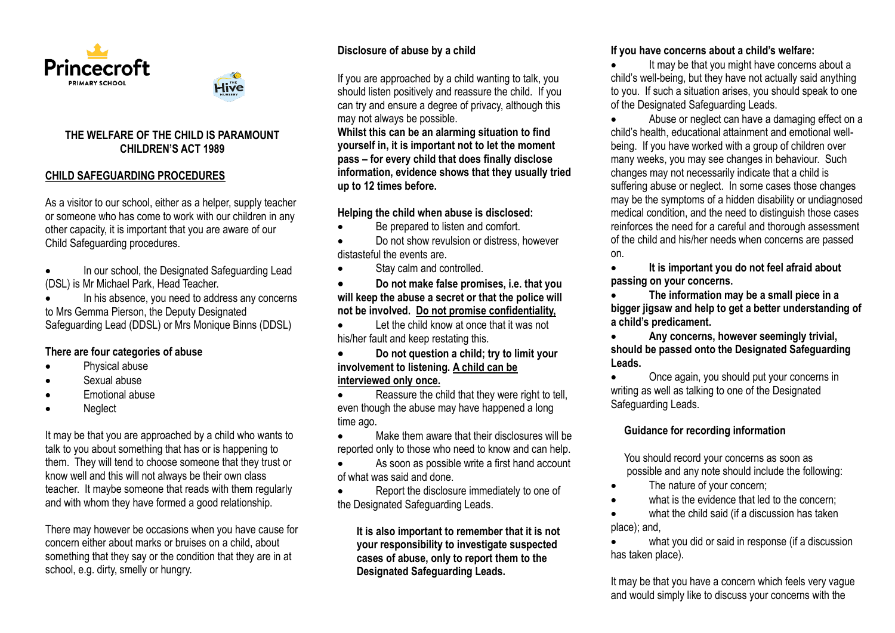



Hive

#### **CHILD SAFEGUARDING PROCEDURES**

As a visitor to our school, either as a helper, supply teacher or someone who has come to work with our children in any other capacity, it is important that you are aware of our Child Safeguarding procedures.

 In our school, the Designated Safeguarding Lead (DSL) is Mr Michael Park, Head Teacher.

 In his absence, you need to address any concerns to Mrs Gemma Pierson, the Deputy Designated Safeguarding Lead (DDSL) or Mrs Monique Binns (DDSL)

#### **There are four categories of abuse**

- Physical abuse
- Sexual abuse
- Emotional abuse
- Neglect

It may be that you are approached by a child who wants to talk to you about something that has or is happening to them. They will tend to choose someone that they trust or know well and this will not always be their own class teacher. It maybe someone that reads with them regularly and with whom they have formed a good relationship.

There may however be occasions when you have cause for concern either about marks or bruises on a child, about something that they say or the condition that they are in at school, e.g. dirty, smelly or hungry.

## **Disclosure of abuse by a child**

If you are approached by a child wanting to talk, you should listen positively and reassure the child. If you can try and ensure a degree of privacy, although this may not always be possible.

**Whilst this can be an alarming situation to find yourself in, it is important not to let the moment pass – for every child that does finally disclose information, evidence shows that they usually tried up to 12 times before.**

#### **Helping the child when abuse is disclosed:**

- Be prepared to listen and comfort.
- Do not show revulsion or distress, however distasteful the events are.
- Stay calm and controlled.

 **Do not make false promises, i.e. that you will keep the abuse a secret or that the police will not be involved. Do not promise confidentiality,**

 Let the child know at once that it was not his/her fault and keep restating this.

 **Do not question a child; try to limit your involvement to listening. A child can be interviewed only once.**

Reassure the child that they were right to tell. even though the abuse may have happened a long time ago.

 Make them aware that their disclosures will be reported only to those who need to know and can help.

 As soon as possible write a first hand account of what was said and done.

 Report the disclosure immediately to one of the Designated Safeguarding Leads.

**It is also important to remember that it is not your responsibility to investigate suspected cases of abuse, only to report them to the Designated Safeguarding Leads.**

#### **If you have concerns about a child's welfare:**

 It may be that you might have concerns about a child's well-being, but they have not actually said anything to you. If such a situation arises, you should speak to one of the Designated Safeguarding Leads.

 Abuse or neglect can have a damaging effect on a child's health, educational attainment and emotional wellbeing. If you have worked with a group of children over many weeks, you may see changes in behaviour. Such changes may not necessarily indicate that a child is suffering abuse or neglect. In some cases those changes may be the symptoms of a hidden disability or undiagnosed medical condition, and the need to distinguish those cases reinforces the need for a careful and thorough assessment of the child and his/her needs when concerns are passed on.

 **It is important you do not feel afraid about passing on your concerns.** 

 **The information may be a small piece in a bigger jigsaw and help to get a better understanding of a child's predicament.** 

 **Any concerns, however seemingly trivial, should be passed onto the Designated Safeguarding Leads.**

• Once again, you should put your concerns in writing as well as talking to one of the Designated Safeguarding Leads.

## **Guidance for recording information**

 You should record your concerns as soon as possible and any note should include the following:

- The nature of your concern;
- what is the evidence that led to the concern;

 what the child said (if a discussion has taken place); and,

 what you did or said in response (if a discussion has taken place).

It may be that you have a concern which feels very vague and would simply like to discuss your concerns with the